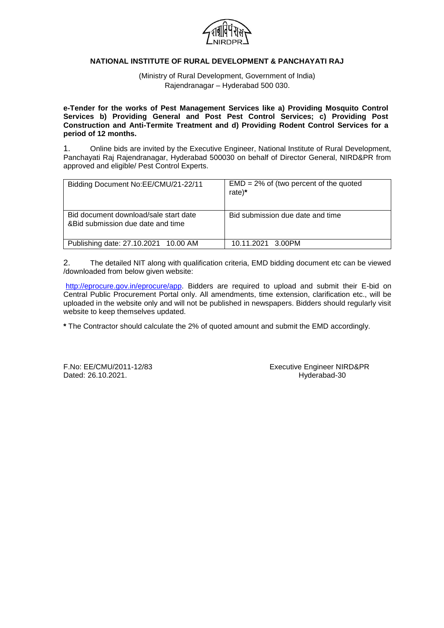

# **NATIONAL INSTITUTE OF RURAL DEVELOPMENT & PANCHAYATI RAJ**

(Ministry of Rural Development, Government of India) Rajendranagar – Hyderabad 500 030.

**e-Tender for the works of Pest Management Services like a) Providing Mosquito Control Services b) Providing General and Post Pest Control Services; c) Providing Post Construction and Anti-Termite Treatment and d) Providing Rodent Control Services for a period of 12 months.**

1. Online bids are invited by the Executive Engineer, National Institute of Rural Development, Panchayati Raj Rajendranagar, Hyderabad 500030 on behalf of Director General, NIRD&PR from approved and eligible/ Pest Control Experts.

| Bidding Document No:EE/CMU/21-22/11                                         | $EMD = 2\%$ of (two percent of the quoted<br>rate)* |
|-----------------------------------------------------------------------------|-----------------------------------------------------|
| Bid document download/sale start date<br>& Bid submission due date and time | Bid submission due date and time                    |
| Publishing date: 27.10.2021 10.00 AM                                        | 10.11.2021 3.00PM                                   |

2. The detailed NIT along with qualification criteria, EMD bidding document etc can be viewed /downloaded from below given website:

[http://eprocure.gov.in/eprocure/app.](http://eprocure.gov.in/eprocure/app) Bidders are required to upload and submit their E-bid on Central Public Procurement Portal only. All amendments, time extension, clarification etc., will be uploaded in the website only and will not be published in newspapers. Bidders should regularly visit website to keep themselves updated.

**\*** The Contractor should calculate the 2% of quoted amount and submit the EMD accordingly.

Dated: 26.10.2021. https://www.archive.org/water.com/distributed: 26.10.2021.

F.No: EE/CMU/2011-12/83 Executive Engineer NIRD&PR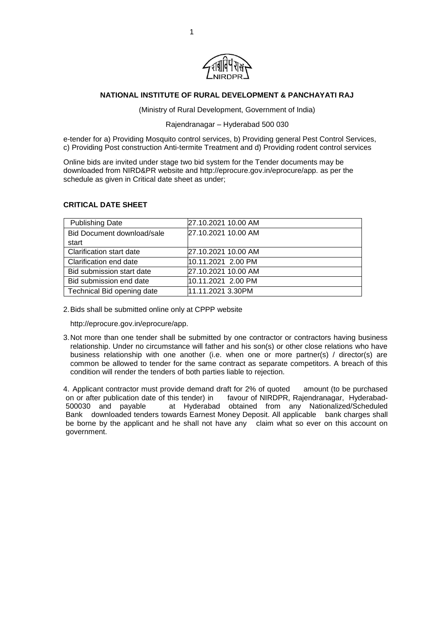

# **NATIONAL INSTITUTE OF RURAL DEVELOPMENT & PANCHAYATI RAJ**

(Ministry of Rural Development, Government of India)

# Rajendranagar – Hyderabad 500 030

e-tender for a) Providing Mosquito control services, b) Providing general Pest Control Services, c) Providing Post construction Anti-termite Treatment and d) Providing rodent control services

Online bids are invited under stage two bid system for the Tender documents may be downloaded from NIRD&PR website and [http://eprocure.gov.in/eprocure/app. a](http://eprocure.gov.in/eprocure/app)s per the schedule as given in Critical date sheet as under;

# **CRITICAL DATE SHEET**

| <b>Publishing Date</b>     | 27.10.2021 10.00 AM |
|----------------------------|---------------------|
| Bid Document download/sale | 27.10.2021 10.00 AM |
| start                      |                     |
| Clarification start date   | 27.10.2021 10.00 AM |
| Clarification end date     | 10.11.2021 2.00 PM  |
| Bid submission start date  | 27.10.2021 10.00 AM |
| Bid submission end date    | 10.11.2021 2.00 PM  |
| Technical Bid opening date | 11.11.2021 3.30PM   |

2.Bids shall be submitted online only at CPPP website

[http://eprocure.gov.in/eprocure/app.](http://eprocure.gov.in/eprocure/app)

3. Not more than one tender shall be submitted by one contractor or contractors having business relationship. Under no circumstance will father and his son(s) or other close relations who have business relationship with one another (i.e. when one or more partner(s) / director(s) are common be allowed to tender for the same contract as separate competitors. A breach of this condition will render the tenders of both parties liable to rejection.

4. Applicant contractor must provide demand draft for 2% of quoted amount (to be purchased on or after publication date of this tender) in favour of NIRDPR, Rajendranagar, Hyderabad-500030 and payable at Hyderabad obtained from any Nationalized/Scheduled Bank downloaded tenders towards Earnest Money Deposit. All applicable bank charges shall be borne by the applicant and he shall not have any claim what so ever on this account on government.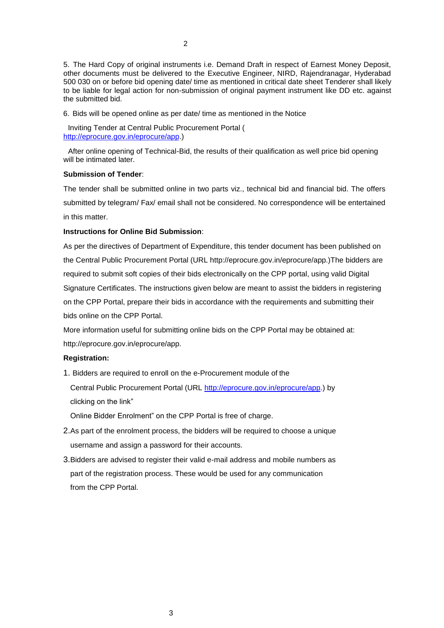5. The Hard Copy of original instruments i.e. Demand Draft in respect of Earnest Money Deposit, other documents must be delivered to the Executive Engineer, NIRD, Rajendranagar, Hyderabad 500 030 on or before bid opening date/ time as mentioned in critical date sheet Tenderer shall likely to be liable for legal action for non-submission of original payment instrument like DD etc. against the submitted bid.

6. Bids will be opened online as per date/ time as mentioned in the Notice

Inviting Tender at Central Public Procurement Portal ( [http://eprocure.gov.in/eprocure/app.](http://eprocure.gov.in/eprocure/app))

After online opening of Technical-Bid, the results of their qualification as well price bid opening will be intimated later.

#### **Submission of Tender**:

The tender shall be submitted online in two parts viz., technical bid and financial bid. The offers submitted by telegram/ Fax/ email shall not be considered. No correspondence will be entertained in this matter.

#### **Instructions for Online Bid Submission**:

As per the directives of Department of Expenditure, this tender document has been published on the Central Public Procurement Portal (URL [http://eprocure.gov.in/eprocure/app.\)The b](http://eprocure.gov.in/eprocure/app.)The)idders are required to submit soft copies of their bids electronically on the CPP portal, using valid Digital Signature Certificates. The instructions given below are meant to assist the bidders in registering on the CPP Portal, prepare their bids in accordance with the requirements and submitting their bids online on the CPP Portal.

More information useful for submitting online bids on the CPP Portal may be obtained at: [http://eprocure.gov.in/eprocure/app.](http://eprocure.gov.in/eprocure/app)

# **Registration:**

1. Bidders are required to enroll on the e-Procurement module of the

Central Public Procurement Portal (URL [http://eprocure.gov.in/eprocure/app.](http://eprocure.gov.in/eprocure/app)) by clicking on the link"

Online Bidder Enrolment" on the CPP Portal is free of charge.

- 2.As part of the enrolment process, the bidders will be required to choose a unique username and assign a password for their accounts.
- 3.Bidders are advised to register their valid e-mail address and mobile numbers as part of the registration process. These would be used for any communication from the CPP Portal.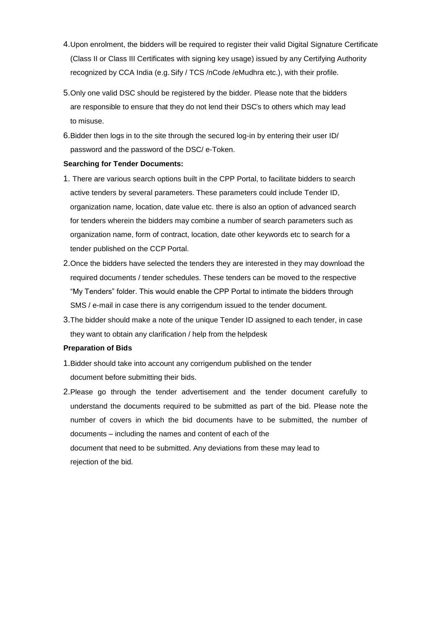- 4.Upon enrolment, the bidders will be required to register their valid Digital Signature Certificate (Class II or Class III Certificates with signing key usage) issued by any Certifying Authority recognized by CCA India (e.g.Sify / TCS /nCode /eMudhra etc.), with their profile.
- 5.Only one valid DSC should be registered by the bidder. Please note that the bidders are responsible to ensure that they do not lend their DSC"s to others which may lead to misuse.
- 6.Bidder then logs in to the site through the secured log-in by entering their user ID/ password and the password of the DSC/ e-Token.

# **Searching for Tender Documents:**

- 1. There are various search options built in the CPP Portal, to facilitate bidders to search active tenders by several parameters. These parameters could include Tender ID, organization name, location, date value etc. there is also an option of advanced search for tenders wherein the bidders may combine a number of search parameters such as organization name, form of contract, location, date other keywords etc to search for a tender published on the CCP Portal.
- 2.Once the bidders have selected the tenders they are interested in they may download the required documents / tender schedules. These tenders can be moved to the respective "My Tenders" folder. This would enable the CPP Portal to intimate the bidders through SMS / e-mail in case there is any corrigendum issued to the tender document.
- 3.The bidder should make a note of the unique Tender ID assigned to each tender, in case they want to obtain any clarification / help from the helpdesk

# **Preparation of Bids**

- 1.Bidder should take into account any corrigendum published on the tender document before submitting their bids.
- 2.Please go through the tender advertisement and the tender document carefully to understand the documents required to be submitted as part of the bid. Please note the number of covers in which the bid documents have to be submitted, the number of documents – including the names and content of each of the document that need to be submitted. Any deviations from these may lead to rejection of the bid.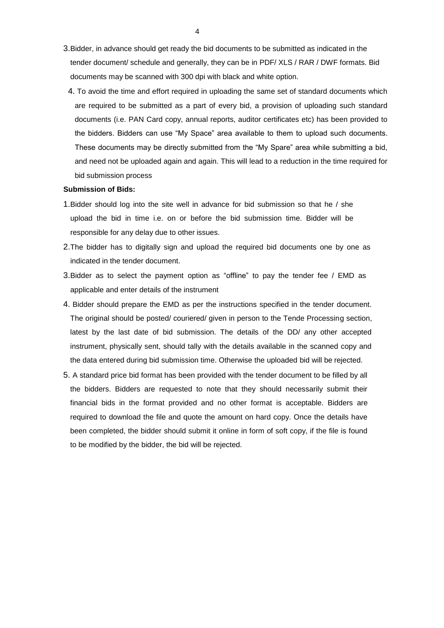- 3.Bidder, in advance should get ready the bid documents to be submitted as indicated in the tender document/ schedule and generally, they can be in PDF/ XLS / RAR / DWF formats. Bid documents may be scanned with 300 dpi with black and white option.
- 4. To avoid the time and effort required in uploading the same set of standard documents which are required to be submitted as a part of every bid, a provision of uploading such standard documents (i.e. PAN Card copy, annual reports, auditor certificates etc) has been provided to the bidders. Bidders can use "My Space" area available to them to upload such documents. These documents may be directly submitted from the "My Spare" area while submitting a bid, and need not be uploaded again and again. This will lead to a reduction in the time required for bid submission process

#### **Submission of Bids:**

- 1.Bidder should log into the site well in advance for bid submission so that he / she upload the bid in time i.e. on or before the bid submission time. Bidder will be responsible for any delay due to other issues.
- 2.The bidder has to digitally sign and upload the required bid documents one by one as indicated in the tender document.
- 3.Bidder as to select the payment option as "offline" to pay the tender fee / EMD as applicable and enter details of the instrument
- 4. Bidder should prepare the EMD as per the instructions specified in the tender document. The original should be posted/ couriered/ given in person to the Tende Processing section, latest by the last date of bid submission. The details of the DD/ any other accepted instrument, physically sent, should tally with the details available in the scanned copy and the data entered during bid submission time. Otherwise the uploaded bid will be rejected.
- 5. A standard price bid format has been provided with the tender document to be filled by all the bidders. Bidders are requested to note that they should necessarily submit their financial bids in the format provided and no other format is acceptable. Bidders are required to download the file and quote the amount on hard copy. Once the details have been completed, the bidder should submit it online in form of soft copy, if the file is found to be modified by the bidder, the bid will be rejected.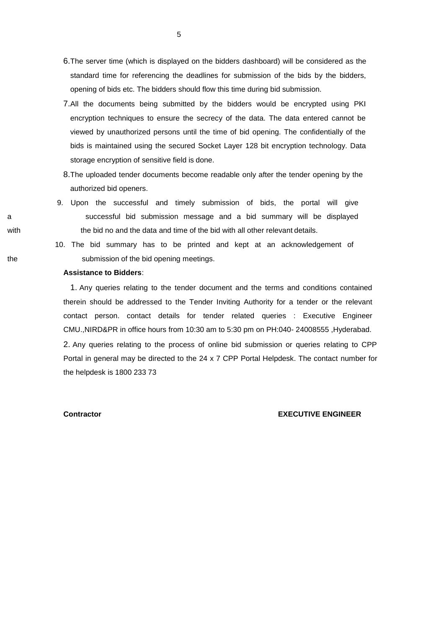- 6.The server time (which is displayed on the bidders dashboard) will be considered as the standard time for referencing the deadlines for submission of the bids by the bidders, opening of bids etc. The bidders should flow this time during bid submission.
- 7.All the documents being submitted by the bidders would be encrypted using PKI encryption techniques to ensure the secrecy of the data. The data entered cannot be viewed by unauthorized persons until the time of bid opening. The confidentially of the bids is maintained using the secured Socket Layer 128 bit encryption technology. Data storage encryption of sensitive field is done.
- 8.The uploaded tender documents become readable only after the tender opening by the authorized bid openers.
- 9. Upon the successful and timely submission of bids, the portal will give a successful bid submission message and a bid summary will be displayed with the bid no and the data and time of the bid with all other relevant details.
- 10. The bid summary has to be printed and kept at an acknowledgement of the submission of the bid opening meetings.

# **Assistance to Bidders**:

1. Any queries relating to the tender document and the terms and conditions contained therein should be addressed to the Tender Inviting Authority for a tender or the relevant contact person. contact details for tender related queries : Executive Engineer CMU.,NIRD&PR in office hours from 10:30 am to 5:30 pm on PH:040- 24008555 ,Hyderabad. 2. Any queries relating to the process of online bid submission or queries relating to CPP Portal in general may be directed to the 24 x 7 CPP Portal Helpdesk. The contact number for the helpdesk is 1800 233 73

### **Contractor EXECUTIVE ENGINEER**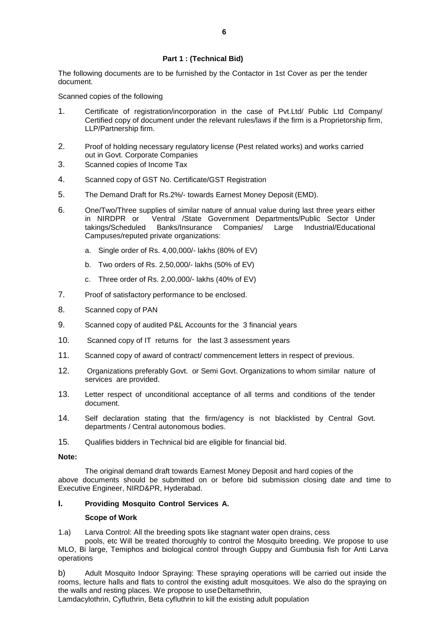# **Part 1 : (Technical Bid)**

The following documents are to be furnished by the Contactor in 1st Cover as per the tender document.

Scanned copies of the following

- 1. Certificate of registration/incorporation in the case of Pvt.Ltd/ Public Ltd Company/ Certified copy of document under the relevant rules/laws if the firm is a Proprietorship firm, LLP/Partnership firm.
- 2. Proof of holding necessary regulatory license (Pest related works) and works carried out in Govt. Corporate Companies
- 3. Scanned copies of Income Tax
- 4. Scanned copy of GST No. Certificate/GST Registration
- 5. The Demand Draft for Rs.2%/- towards Earnest Money Deposit (EMD).
- 6. One/Two/Three supplies of similar nature of annual value during last three years either in NIRDPR or Ventral /State Government Departments/Public Sector Under takings/Scheduled Banks/Insurance Companies/ Large Industrial/Educational Campuses/reputed private organizations:
	- a. Single order of Rs. 4,00,000/- lakhs (80% of EV)
	- b. Two orders of Rs. 2,50,000/- lakhs (50% of EV)
	- c. Three order of Rs. 2,00,000/- lakhs (40% of EV)
- 7. Proof of satisfactory performance to be enclosed.
- 8. Scanned copy of PAN
- 9. Scanned copy of audited P&L Accounts for the 3 financial years
- 10. Scanned copy of IT returns for the last 3 assessment years
- 11. Scanned copy of award of contract/ commencement letters in respect of previous.
- 12. Organizations preferably Govt. or Semi Govt. Organizations to whom similar nature of services are provided.
- 13. Letter respect of unconditional acceptance of all terms and conditions of the tender document.
- 14. Self declaration stating that the firm/agency is not blacklisted by Central Govt. departments / Central autonomous bodies.
- 15. Qualifies bidders in Technical bid are eligible for financial bid.

# **Note:**

The original demand draft towards Earnest Money Deposit and hard copies of the above documents should be submitted on or before bid submission closing date and time to Executive Engineer, NIRD&PR, Hyderabad.

# **I. Providing Mosquito Control Services A.**

# **Scope of Work**

1.a) Larva Control: All the breeding spots like stagnant water open drains, cess

pools, etc Will be treated thoroughly to control the Mosquito breeding. We propose to use MLO, Bi large, Temiphos and biological control through Guppy and Gumbusia fish for Anti Larva operations

b) Adult Mosquito Indoor Spraying: These spraying operations will be carried out inside the rooms, lecture halls and flats to control the existing adult mosquitoes. We also do the spraying on the walls and resting places. We propose to useDeltamethrin,

Lamdacylothrin, Cyfluthrin, Beta cyfluthrin to kill the existing adult population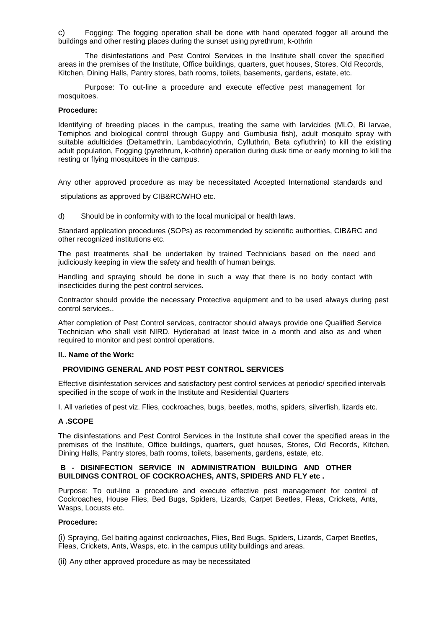Fogging: The fogging operation shall be done with hand operated fogger all around the buildings and other resting places during the sunset using pyrethrum, k-othrin

The disinfestations and Pest Control Services in the Institute shall cover the specified areas in the premises of the Institute, Office buildings, quarters, guet houses, Stores, Old Records, Kitchen, Dining Halls, Pantry stores, bath rooms, toilets, basements, gardens, estate, etc.

Purpose: To out-line a procedure and execute effective pest management for mosquitoes.

#### **Procedure:**

Identifying of breeding places in the campus, treating the same with larvicides (MLO, Bi larvae, Temiphos and biological control through Guppy and Gumbusia fish), adult mosquito spray with suitable adulticides (Deltamethrin, Lambdacylothrin, Cyfluthrin, Beta cyfluthrin) to kill the existing adult population, Fogging (pyrethrum, k-othrin) operation during dusk time or early morning to kill the resting or flying mosquitoes in the campus.

Any other approved procedure as may be necessitated Accepted International standards and

stipulations as approved by CIB&RC/WHO etc.

d) Should be in conformity with to the local municipal or health laws.

Standard application procedures (SOPs) as recommended by scientific authorities, CIB&RC and other recognized institutions etc.

The pest treatments shall be undertaken by trained Technicians based on the need and judiciously keeping in view the safety and health of human beings.

Handling and spraying should be done in such a way that there is no body contact with insecticides during the pest control services.

Contractor should provide the necessary Protective equipment and to be used always during pest control services..

After completion of Pest Control services, contractor should always provide one Qualified Service Technician who shall visit NIRD, Hyderabad at least twice in a month and also as and when required to monitor and pest control operations.

# **II.. Name of the Work:**

# **PROVIDING GENERAL AND POST PEST CONTROL SERVICES**

Effective disinfestation services and satisfactory pest control services at periodic/ specified intervals specified in the scope of work in the Institute and Residential Quarters

I. All varieties of pest viz. Flies, cockroaches, bugs, beetles, moths, spiders, silverfish, lizards etc.

# **A .SCOPE**

The disinfestations and Pest Control Services in the Institute shall cover the specified areas in the premises of the Institute, Office buildings, quarters, guet houses, Stores, Old Records, Kitchen, Dining Halls, Pantry stores, bath rooms, toilets, basements, gardens, estate, etc.

# **B - DISINFECTION SERVICE IN ADMINISTRATION BUILDING AND OTHER BUILDINGS CONTROL OF COCKROACHES, ANTS, SPIDERS AND FLY etc .**

Purpose: To out-line a procedure and execute effective pest management for control of Cockroaches, House Flies, Bed Bugs, Spiders, Lizards, Carpet Beetles, Fleas, Crickets, Ants, Wasps, Locusts etc.

# **Procedure:**

(i) Spraying, Gel baiting against cockroaches, Flies, Bed Bugs, Spiders, Lizards, Carpet Beetles, Fleas, Crickets, Ants, Wasps, etc. in the campus utility buildings and areas.

(ii) Any other approved procedure as may be necessitated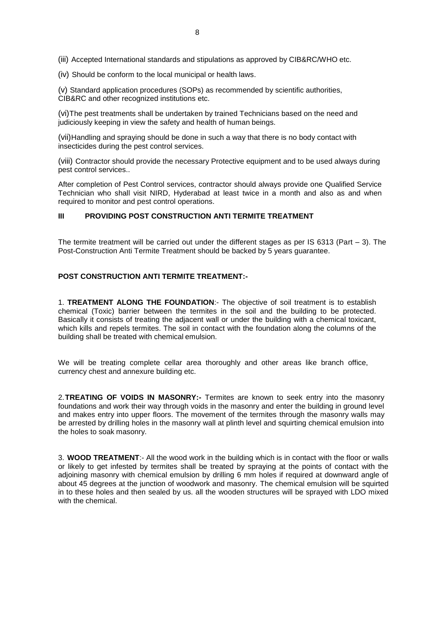(iii) Accepted International standards and stipulations as approved by CIB&RC/WHO etc.

(iv) Should be conform to the local municipal or health laws.

(v) Standard application procedures (SOPs) as recommended by scientific authorities, CIB&RC and other recognized institutions etc.

(vi)The pest treatments shall be undertaken by trained Technicians based on the need and judiciously keeping in view the safety and health of human beings.

(vii)Handling and spraying should be done in such a way that there is no body contact with insecticides during the pest control services.

(viii) Contractor should provide the necessary Protective equipment and to be used always during pest control services..

After completion of Pest Control services, contractor should always provide one Qualified Service Technician who shall visit NIRD, Hyderabad at least twice in a month and also as and when required to monitor and pest control operations.

#### **III PROVIDING POST CONSTRUCTION ANTI TERMITE TREATMENT**

The termite treatment will be carried out under the different stages as per IS 6313 (Part  $-$  3). The Post-Construction Anti Termite Treatment should be backed by 5 years guarantee.

#### **POST CONSTRUCTION ANTI TERMITE TREATMENT:-**

1. **TREATMENT ALONG THE FOUNDATION**:- The objective of soil treatment is to establish chemical (Toxic) barrier between the termites in the soil and the building to be protected. Basically it consists of treating the adjacent wall or under the building with a chemical toxicant, which kills and repels termites. The soil in contact with the foundation along the columns of the building shall be treated with chemical emulsion.

We will be treating complete cellar area thoroughly and other areas like branch office, currency chest and annexure building etc.

2.**TREATING OF VOIDS IN MASONRY:-** Termites are known to seek entry into the masonry foundations and work their way through voids in the masonry and enter the building in ground level and makes entry into upper floors. The movement of the termites through the masonry walls may be arrested by drilling holes in the masonry wall at plinth level and squirting chemical emulsion into the holes to soak masonry.

3. **WOOD TREATMENT**:- All the wood work in the building which is in contact with the floor or walls or likely to get infested by termites shall be treated by spraying at the points of contact with the adjoining masonry with chemical emulsion by drilling 6 mm holes if required at downward angle of about 45 degrees at the junction of woodwork and masonry. The chemical emulsion will be squirted in to these holes and then sealed by us. all the wooden structures will be sprayed with LDO mixed with the chemical.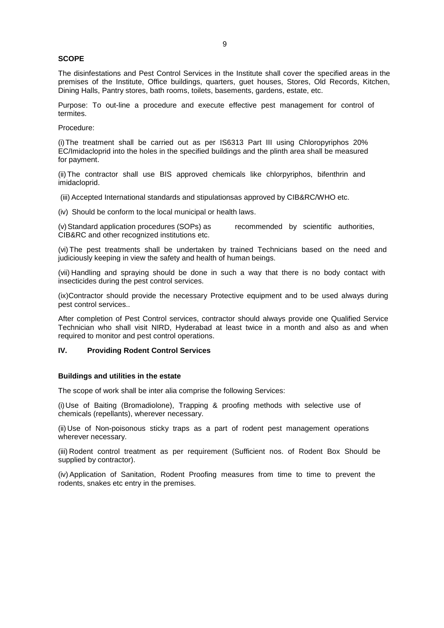#### **SCOPE**

The disinfestations and Pest Control Services in the Institute shall cover the specified areas in the premises of the Institute, Office buildings, quarters, guet houses, Stores, Old Records, Kitchen, Dining Halls, Pantry stores, bath rooms, toilets, basements, gardens, estate, etc.

Purpose: To out-line a procedure and execute effective pest management for control of termites.

Procedure:

(i)The treatment shall be carried out as per IS6313 Part III using Chloropyriphos 20% EC/Imidacloprid into the holes in the specified buildings and the plinth area shall be measured for payment.

(ii) The contractor shall use BIS approved chemicals like chlorpyriphos, bifenthrin and imidacloprid.

(iii) Accepted International standards and stipulationsas approved by CIB&RC/WHO etc.

(iv) Should be conform to the local municipal or health laws.

(v)Standard application procedures (SOPs) as recommended by scientific authorities, CIB&RC and other recognized institutions etc.

(vi) The pest treatments shall be undertaken by trained Technicians based on the need and judiciously keeping in view the safety and health of human beings.

(vii) Handling and spraying should be done in such a way that there is no body contact with insecticides during the pest control services.

(ix)Contractor should provide the necessary Protective equipment and to be used always during pest control services..

After completion of Pest Control services, contractor should always provide one Qualified Service Technician who shall visit NIRD, Hyderabad at least twice in a month and also as and when required to monitor and pest control operations.

#### **IV. Providing Rodent Control Services**

#### **Buildings and utilities in the estate**

The scope of work shall be inter alia comprise the following Services:

(i)Use of Baiting (Bromadiolone), Trapping & proofing methods with selective use of chemicals (repellants), wherever necessary.

(ii) Use of Non-poisonous sticky traps as a part of rodent pest management operations wherever necessary.

(iii) Rodent control treatment as per requirement (Sufficient nos. of Rodent Box Should be supplied by contractor).

(iv) Application of Sanitation, Rodent Proofing measures from time to time to prevent the rodents, snakes etc entry in the premises.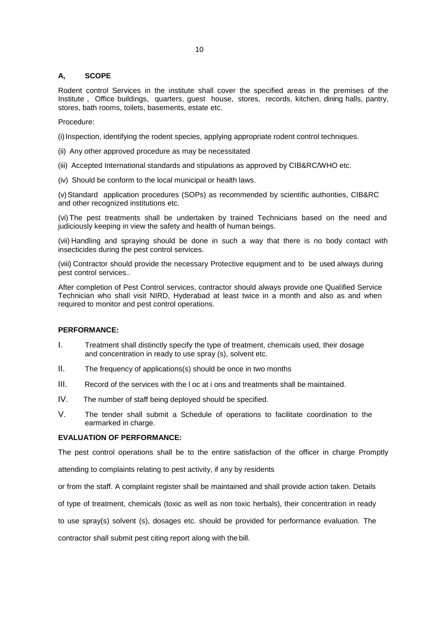# **A, SCOPE**

Rodent control Services in the institute shall cover the specified areas in the premises of the Institute , Office buildings, quarters, guest house, stores, records, kitchen, dining halls, pantry, stores, bath rooms, toilets, basements, estate etc.

Procedure:

(i) Inspection, identifying the rodent species, applying appropriate rodent control techniques.

- (ii) Any other approved procedure as may be necessitated
- (iii) Accepted International standards and stipulations as approved by CIB&RC/WHO etc.
- (iv) Should be conform to the local municipal or health laws.

(v)Standard application procedures (SOPs) as recommended by scientific authorities, CIB&RC and other recognized institutions etc.

(vi) The pest treatments shall be undertaken by trained Technicians based on the need and judiciously keeping in view the safety and health of human beings.

(vii) Handling and spraying should be done in such a way that there is no body contact with insecticides during the pest control services.

(viii) Contractor should provide the necessary Protective equipment and to be used always during pest control services..

After completion of Pest Control services, contractor should always provide one Qualified Service Technician who shall visit NIRD, Hyderabad at least twice in a month and also as and when required to monitor and pest control operations.

# **PERFORMANCE:**

- I. Treatment shall distinctly specify the type of treatment, chemicals used, their dosage and concentration in ready to use spray (s), solvent etc.
- II. The frequency of applications(s) should be once in two months
- III. Record of the services with the l oc at i ons and treatments shall be maintained.
- IV. The number of staff being deployed should be specified.
- V. The tender shall submit a Schedule of operations to facilitate coordination to the earmarked in charge.

# **EVALUATION OF PERFORMANCE:**

The pest control operations shall be to the entire satisfaction of the officer in charge Promptly

attending to complaints relating to pest activity, if any by residents

or from the staff. A complaint register shall be maintained and shall provide action taken. Details

of type of treatment, chemicals (toxic as well as non toxic herbals), their concentration in ready

to use spray(s) solvent (s), dosages etc. should be provided for performance evaluation. The

contractor shall submit pest citing report along with the bill.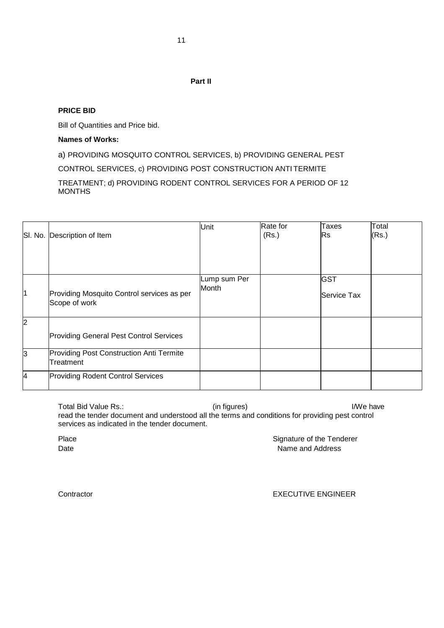# **Part II**

# **PRICE BID**

Bill of Quantities and Price bid.

# **Names of Works:**

a) PROVIDING MOSQUITO CONTROL SERVICES, b) PROVIDING GENERAL PEST

CONTROL SERVICES, c) PROVIDING POST CONSTRUCTION ANTI TERMITE

TREATMENT; d) PROVIDING RODENT CONTROL SERVICES FOR A PERIOD OF 12 MONTHS

|                         | SI. No. Description of Item                                 | Unit                  | Rate for<br>(Rs.) | <b>Taxes</b><br><b>Rs</b> | Total<br>(Rs.) |
|-------------------------|-------------------------------------------------------------|-----------------------|-------------------|---------------------------|----------------|
| $\overline{\mathbf{1}}$ | Providing Mosquito Control services as per<br>Scope of work | Lump sum Per<br>Month |                   | <b>GST</b><br>Service Tax |                |
| $\overline{2}$          | <b>Providing General Pest Control Services</b>              |                       |                   |                           |                |
| lЗ                      | Providing Post Construction Anti Termite<br>Treatment       |                       |                   |                           |                |
| $\overline{\mathbf{4}}$ | <b>Providing Rodent Control Services</b>                    |                       |                   |                           |                |

Total Bid Value Rs.:  $\qquad \qquad$  (in figures)  $\qquad \qquad$  I/We have read the tender document and understood all the terms and conditions for providing pest control services as indicated in the tender document.

Place **Signature of the Tenderer** Date **Name and Address** 

# Contractor EXECUTIVE ENGINEER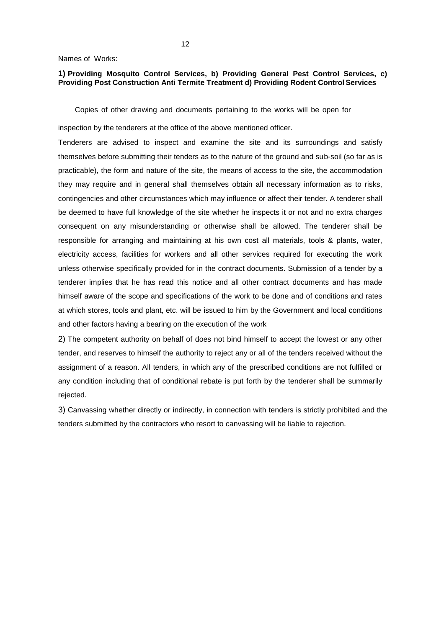Names of Works:

# **1) Providing Mosquito Control Services, b) Providing General Pest Control Services, c) Providing Post Construction Anti Termite Treatment d) Providing Rodent Control Services**

Copies of other drawing and documents pertaining to the works will be open for

inspection by the tenderers at the office of the above mentioned officer.

Tenderers are advised to inspect and examine the site and its surroundings and satisfy themselves before submitting their tenders as to the nature of the ground and sub-soil (so far as is practicable), the form and nature of the site, the means of access to the site, the accommodation they may require and in general shall themselves obtain all necessary information as to risks, contingencies and other circumstances which may influence or affect their tender. A tenderer shall be deemed to have full knowledge of the site whether he inspects it or not and no extra charges consequent on any misunderstanding or otherwise shall be allowed. The tenderer shall be responsible for arranging and maintaining at his own cost all materials, tools & plants, water, electricity access, facilities for workers and all other services required for executing the work unless otherwise specifically provided for in the contract documents. Submission of a tender by a tenderer implies that he has read this notice and all other contract documents and has made himself aware of the scope and specifications of the work to be done and of conditions and rates at which stores, tools and plant, etc. will be issued to him by the Government and local conditions and other factors having a bearing on the execution of the work

2) The competent authority on behalf of does not bind himself to accept the lowest or any other tender, and reserves to himself the authority to reject any or all of the tenders received without the assignment of a reason. All tenders, in which any of the prescribed conditions are not fulfilled or any condition including that of conditional rebate is put forth by the tenderer shall be summarily rejected.

3) Canvassing whether directly or indirectly, in connection with tenders is strictly prohibited and the tenders submitted by the contractors who resort to canvassing will be liable to rejection.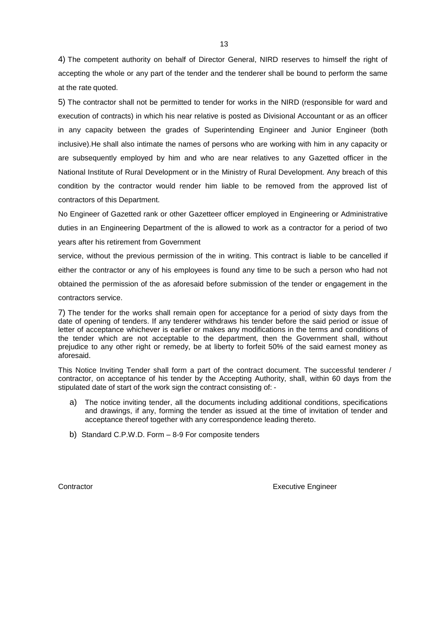4) The competent authority on behalf of Director General, NIRD reserves to himself the right of accepting the whole or any part of the tender and the tenderer shall be bound to perform the same at the rate quoted.

5) The contractor shall not be permitted to tender for works in the NIRD (responsible for ward and execution of contracts) in which his near relative is posted as Divisional Accountant or as an officer in any capacity between the grades of Superintending Engineer and Junior Engineer (both inclusive).He shall also intimate the names of persons who are working with him in any capacity or are subsequently employed by him and who are near relatives to any Gazetted officer in the National Institute of Rural Development or in the Ministry of Rural Development. Any breach of this condition by the contractor would render him liable to be removed from the approved list of contractors of this Department.

No Engineer of Gazetted rank or other Gazetteer officer employed in Engineering or Administrative duties in an Engineering Department of the is allowed to work as a contractor for a period of two years after his retirement from Government

service, without the previous permission of the in writing. This contract is liable to be cancelled if either the contractor or any of his employees is found any time to be such a person who had not obtained the permission of the as aforesaid before submission of the tender or engagement in the contractors service.

7) The tender for the works shall remain open for acceptance for a period of sixty days from the date of opening of tenders. If any tenderer withdraws his tender before the said period or issue of letter of acceptance whichever is earlier or makes any modifications in the terms and conditions of the tender which are not acceptable to the department, then the Government shall, without prejudice to any other right or remedy, be at liberty to forfeit 50% of the said earnest money as aforesaid.

This Notice Inviting Tender shall form a part of the contract document. The successful tenderer / contractor, on acceptance of his tender by the Accepting Authority, shall, within 60 days from the stipulated date of start of the work sign the contract consisting of: -

- a) The notice inviting tender, all the documents including additional conditions, specifications and drawings, if any, forming the tender as issued at the time of invitation of tender and acceptance thereof together with any correspondence leading thereto.
- b) Standard C.P.W.D. Form 8-9 For composite tenders

**Contractor Executive Engineer Executive Engineer** 

13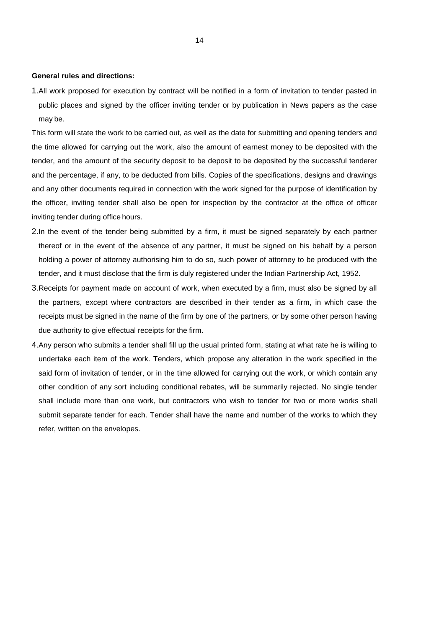**General rules and directions:**

1.All work proposed for execution by contract will be notified in a form of invitation to tender pasted in public places and signed by the officer inviting tender or by publication in News papers as the case may be.

This form will state the work to be carried out, as well as the date for submitting and opening tenders and the time allowed for carrying out the work, also the amount of earnest money to be deposited with the tender, and the amount of the security deposit to be deposit to be deposited by the successful tenderer and the percentage, if any, to be deducted from bills. Copies of the specifications, designs and drawings and any other documents required in connection with the work signed for the purpose of identification by the officer, inviting tender shall also be open for inspection by the contractor at the office of officer inviting tender during office hours.

- 2.In the event of the tender being submitted by a firm, it must be signed separately by each partner thereof or in the event of the absence of any partner, it must be signed on his behalf by a person holding a power of attorney authorising him to do so, such power of attorney to be produced with the tender, and it must disclose that the firm is duly registered under the Indian Partnership Act, 1952.
- 3.Receipts for payment made on account of work, when executed by a firm, must also be signed by all the partners, except where contractors are described in their tender as a firm, in which case the receipts must be signed in the name of the firm by one of the partners, or by some other person having due authority to give effectual receipts for the firm.
- 4.Any person who submits a tender shall fill up the usual printed form, stating at what rate he is willing to undertake each item of the work. Tenders, which propose any alteration in the work specified in the said form of invitation of tender, or in the time allowed for carrying out the work, or which contain any other condition of any sort including conditional rebates, will be summarily rejected. No single tender shall include more than one work, but contractors who wish to tender for two or more works shall submit separate tender for each. Tender shall have the name and number of the works to which they refer, written on the envelopes.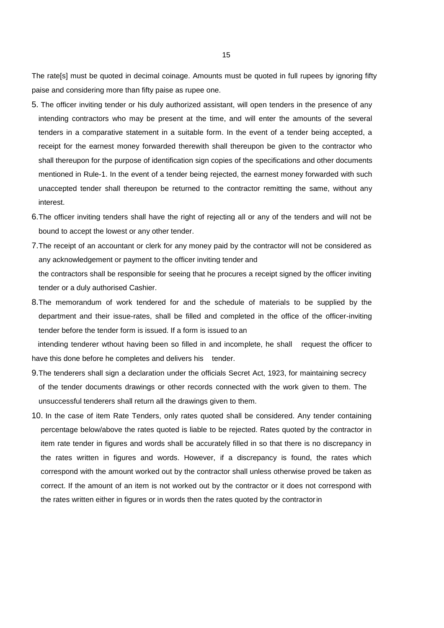The rate[s] must be quoted in decimal coinage. Amounts must be quoted in full rupees by ignoring fifty paise and considering more than fifty paise as rupee one.

- 5. The officer inviting tender or his duly authorized assistant, will open tenders in the presence of any intending contractors who may be present at the time, and will enter the amounts of the several tenders in a comparative statement in a suitable form. In the event of a tender being accepted, a receipt for the earnest money forwarded therewith shall thereupon be given to the contractor who shall thereupon for the purpose of identification sign copies of the specifications and other documents mentioned in Rule-1. In the event of a tender being rejected, the earnest money forwarded with such unaccepted tender shall thereupon be returned to the contractor remitting the same, without any interest.
- 6.The officer inviting tenders shall have the right of rejecting all or any of the tenders and will not be bound to accept the lowest or any other tender.
- 7.The receipt of an accountant or clerk for any money paid by the contractor will not be considered as any acknowledgement or payment to the officer inviting tender and the contractors shall be responsible for seeing that he procures a receipt signed by the officer inviting tender or a duly authorised Cashier.
- 8.The memorandum of work tendered for and the schedule of materials to be supplied by the department and their issue-rates, shall be filled and completed in the office of the officer-inviting tender before the tender form is issued. If a form is issued to an

 intending tenderer wthout having been so filled in and incomplete, he shall request the officer to have this done before he completes and delivers his tender.

- 9.The tenderers shall sign a declaration under the officials Secret Act, 1923, for maintaining secrecy of the tender documents drawings or other records connected with the work given to them. The unsuccessful tenderers shall return all the drawings given to them.
- 10. In the case of item Rate Tenders, only rates quoted shall be considered. Any tender containing percentage below/above the rates quoted is liable to be rejected. Rates quoted by the contractor in item rate tender in figures and words shall be accurately filled in so that there is no discrepancy in the rates written in figures and words. However, if a discrepancy is found, the rates which correspond with the amount worked out by the contractor shall unless otherwise proved be taken as correct. If the amount of an item is not worked out by the contractor or it does not correspond with the rates written either in figures or in words then the rates quoted by the contractorin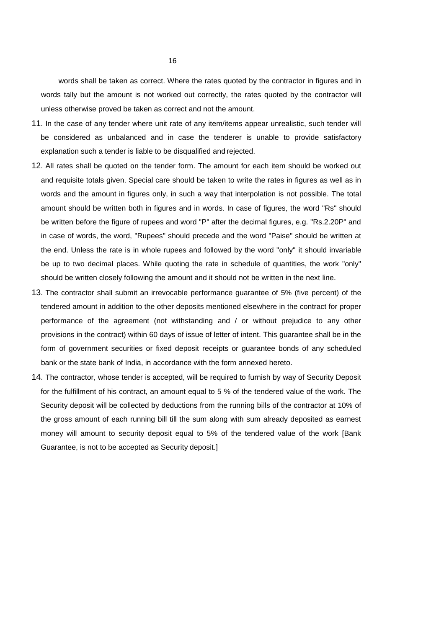words shall be taken as correct. Where the rates quoted by the contractor in figures and in words tally but the amount is not worked out correctly, the rates quoted by the contractor will unless otherwise proved be taken as correct and not the amount.

- 11. In the case of any tender where unit rate of any item/items appear unrealistic, such tender will be considered as unbalanced and in case the tenderer is unable to provide satisfactory explanation such a tender is liable to be disqualified and rejected.
- 12. All rates shall be quoted on the tender form. The amount for each item should be worked out and requisite totals given. Special care should be taken to write the rates in figures as well as in words and the amount in figures only, in such a way that interpolation is not possible. The total amount should be written both in figures and in words. In case of figures, the word "Rs" should be written before the figure of rupees and word "P" after the decimal figures, e.g. "Rs.2.20P" and in case of words, the word, "Rupees" should precede and the word "Paise" should be written at the end. Unless the rate is in whole rupees and followed by the word "only" it should invariable be up to two decimal places. While quoting the rate in schedule of quantities, the work "only" should be written closely following the amount and it should not be written in the next line.
- 13. The contractor shall submit an irrevocable performance guarantee of 5% (five percent) of the tendered amount in addition to the other deposits mentioned elsewhere in the contract for proper performance of the agreement (not withstanding and / or without prejudice to any other provisions in the contract) within 60 days of issue of letter of intent. This guarantee shall be in the form of government securities or fixed deposit receipts or guarantee bonds of any scheduled bank or the state bank of India, in accordance with the form annexed hereto.
- 14. The contractor, whose tender is accepted, will be required to furnish by way of Security Deposit for the fulfillment of his contract, an amount equal to 5 % of the tendered value of the work. The Security deposit will be collected by deductions from the running bills of the contractor at 10% of the gross amount of each running bill till the sum along with sum already deposited as earnest money will amount to security deposit equal to 5% of the tendered value of the work [Bank Guarantee, is not to be accepted as Security deposit.]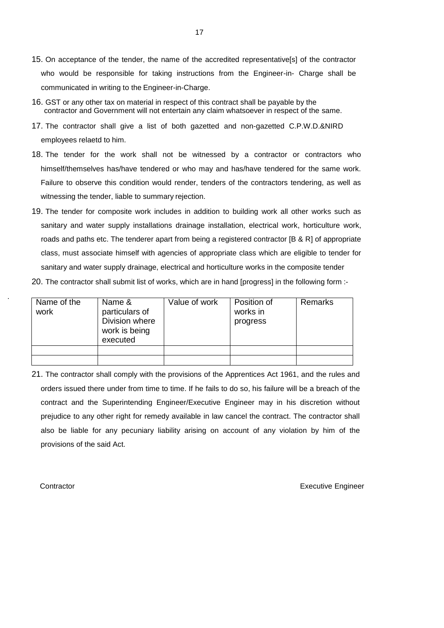- 15. On acceptance of the tender, the name of the accredited representative[s] of the contractor who would be responsible for taking instructions from the Engineer-in- Charge shall be communicated in writing to the Engineer-in-Charge.
- 16. GST or any other tax on material in respect of this contract shall be payable by the contractor and Government will not entertain any claim whatsoever in respect of the same.
- 17. The contractor shall give a list of both gazetted and non-gazetted C.P.W.D.&NIRD employees relaetd to him.
- 18. The tender for the work shall not be witnessed by a contractor or contractors who himself/themselves has/have tendered or who may and has/have tendered for the same work. Failure to observe this condition would render, tenders of the contractors tendering, as well as witnessing the tender, liable to summary rejection.
- 19. The tender for composite work includes in addition to building work all other works such as sanitary and water supply installations drainage installation, electrical work, horticulture work, roads and paths etc. The tenderer apart from being a registered contractor [B & R] of appropriate class, must associate himself with agencies of appropriate class which are eligible to tender for sanitary and water supply drainage, electrical and horticulture works in the composite tender
- 20. The contractor shall submit list of works, which are in hand [progress] in the following form :-

| Name of the<br>work | Name &<br>particulars of<br>Division where<br>work is being<br>executed | Value of work | Position of<br>works in<br>progress | Remarks |
|---------------------|-------------------------------------------------------------------------|---------------|-------------------------------------|---------|
|                     |                                                                         |               |                                     |         |
|                     |                                                                         |               |                                     |         |

21. The contractor shall comply with the provisions of the Apprentices Act 1961, and the rules and orders issued there under from time to time. If he fails to do so, his failure will be a breach of the contract and the Superintending Engineer/Executive Engineer may in his discretion without prejudice to any other right for remedy available in law cancel the contract. The contractor shall also be liable for any pecuniary liability arising on account of any violation by him of the provisions of the said Act.

.

**Contractor** Executive Engineer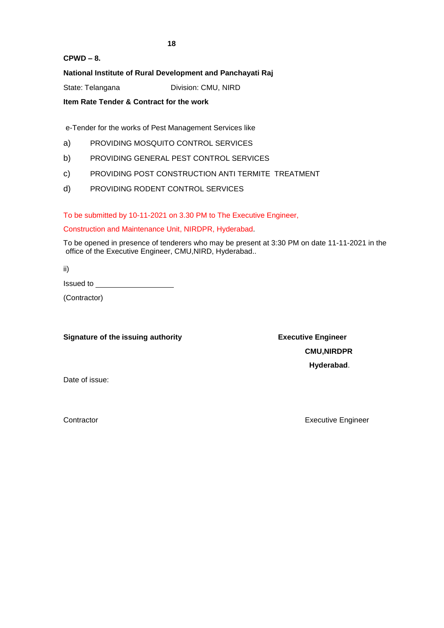**CPWD – 8.**

# **National Institute of Rural Development and Panchayati Raj**

State: Telangana Division: CMU, NIRD

**Item Rate Tender & Contract for the work**

e-Tender for the works of Pest Management Services like

- a) PROVIDING MOSQUITO CONTROL SERVICES
- b) PROVIDING GENERAL PEST CONTROL SERVICES
- c) PROVIDING POST CONSTRUCTION ANTI TERMITE TREATMENT
- d) PROVIDING RODENT CONTROL SERVICES

To be submitted by 10-11-2021 on 3.30 PM to The Executive Engineer,

# Construction and Maintenance Unit, NIRDPR, Hyderabad.

To be opened in presence of tenderers who may be present at 3:30 PM on date 11-11-2021 in the office of the Executive Engineer, CMU,NIRD, Hyderabad..

ii)

Issued to

(Contractor)

# **Signature of the issuing authority <b>Executive Engineer Executive Engineer**

**CMU,NIRDPR Hyderabad**.

Date of issue:

Contractor **Executive Engineer** Executive Engineer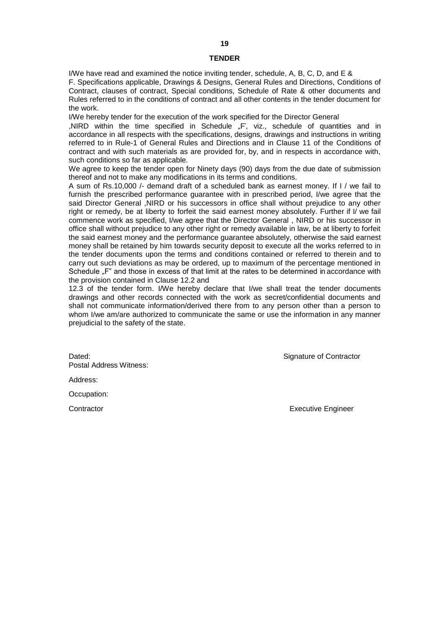#### **TENDER**

I/We have read and examined the notice inviting tender, schedule, A, B, C, D, and E & F. Specifications applicable, Drawings & Designs, General Rules and Directions, Conditions of Contract, clauses of contract, Special conditions, Schedule of Rate & other documents and Rules referred to in the conditions of contract and all other contents in the tender document for the work.

I/We hereby tender for the execution of the work specified for the Director General

,NIRD within the time specified in Schedule "F', viz., schedule of quantities and in accordance in all respects with the specifications, designs, drawings and instructions in writing referred to in Rule-1 of General Rules and Directions and in Clause 11 of the Conditions of contract and with such materials as are provided for, by, and in respects in accordance with, such conditions so far as applicable.

We agree to keep the tender open for Ninety days (90) days from the due date of submission thereof and not to make any modifications in its terms and conditions.

A sum of Rs.10,000 /- demand draft of a scheduled bank as earnest money. If I / we fail to furnish the prescribed performance guarantee with in prescribed period, I/we agree that the said Director General ,NIRD or his successors in office shall without prejudice to any other right or remedy, be at liberty to forfeit the said earnest money absolutely. Further if I/ we fail commence work as specified, I/we agree that the Director General , NIRD or his successor in office shall without prejudice to any other right or remedy available in law, be at liberty to forfeit the said earnest money and the performance guarantee absolutely, otherwise the said earnest money shall be retained by him towards security deposit to execute all the works referred to in the tender documents upon the terms and conditions contained or referred to therein and to carry out such deviations as may be ordered, up to maximum of the percentage mentioned in Schedule "F" and those in excess of that limit at the rates to be determined in accordance with the provision contained in Clause 12.2 and

12.3 of the tender form. I/We hereby declare that I/we shall treat the tender documents drawings and other records connected with the work as secret/confidential documents and shall not communicate information/derived there from to any person other than a person to whom I/we am/are authorized to communicate the same or use the information in any manner prejudicial to the safety of the state.

Dated: **Signature of Contractor** Contractor Postal Address Witness:

Address:

Occupation:

Contractor **Executive Engineer** Executive Engineer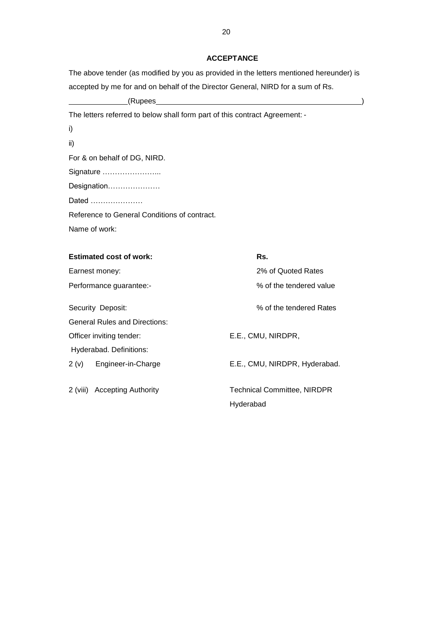# **ACCEPTANCE**

| The above tender (as modified by you as provided in the letters mentioned hereunder) is |
|-----------------------------------------------------------------------------------------|
| accepted by me for and on behalf of the Director General, NIRD for a sum of Rs.         |

(Rupees )

# The letters referred to below shall form part of this contract Agreement: -

ii)

For & on behalf of DG, NIRD.

Signature …………………...

Designation…………………

Dated …………………

Reference to General Conditions of contract.

Name of work:

| <b>Estimated cost of work:</b>       | Rs.                                |
|--------------------------------------|------------------------------------|
| Earnest money:                       | 2% of Quoted Rates                 |
| Performance guarantee:-              | % of the tendered value            |
| Security Deposit:                    | % of the tendered Rates            |
| <b>General Rules and Directions:</b> |                                    |
| Officer inviting tender:             | E.E., CMU, NIRDPR,                 |
| Hyderabad. Definitions:              |                                    |
| Engineer-in-Charge<br>2(v)           | E.E., CMU, NIRDPR, Hyderabad.      |
| 2 (viii) Accepting Authority         | <b>Technical Committee, NIRDPR</b> |
|                                      | Hyderabad                          |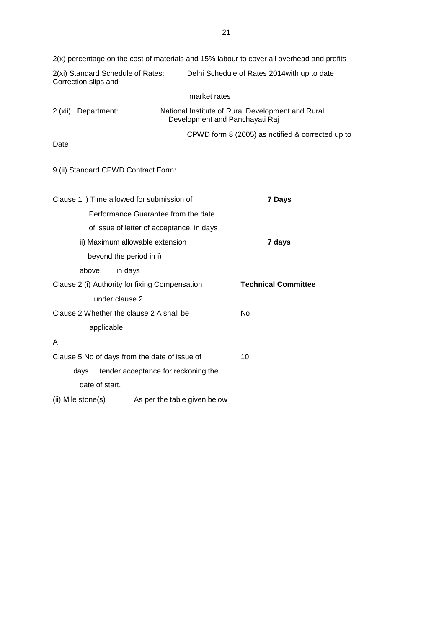| 2(x) percentage on the cost of materials and 15% labour to cover all overhead and profits |                                                                                     |  |
|-------------------------------------------------------------------------------------------|-------------------------------------------------------------------------------------|--|
| 2(xi) Standard Schedule of Rates:<br>Correction slips and                                 | Delhi Schedule of Rates 2014 with up to date                                        |  |
|                                                                                           | market rates                                                                        |  |
| 2(xii)<br>Department:                                                                     | National Institute of Rural Development and Rural<br>Development and Panchayati Raj |  |
| Date                                                                                      | CPWD form 8 (2005) as notified & corrected up to                                    |  |
| 9 (ii) Standard CPWD Contract Form:                                                       |                                                                                     |  |
| Clause 1 i) Time allowed for submission of<br>7 Days                                      |                                                                                     |  |
| Performance Guarantee from the date                                                       |                                                                                     |  |
| of issue of letter of acceptance, in days                                                 |                                                                                     |  |
| ii) Maximum allowable extension                                                           | 7 days                                                                              |  |
| beyond the period in i)                                                                   |                                                                                     |  |
| above,<br>in days                                                                         |                                                                                     |  |
| Clause 2 (i) Authority for fixing Compensation                                            | <b>Technical Committee</b>                                                          |  |
| under clause 2                                                                            |                                                                                     |  |
| Clause 2 Whether the clause 2 A shall be                                                  | No                                                                                  |  |
| applicable                                                                                |                                                                                     |  |
| A                                                                                         |                                                                                     |  |
| Clause 5 No of days from the date of issue of                                             | 10                                                                                  |  |
| tender acceptance for reckoning the<br>days                                               |                                                                                     |  |
| date of start.                                                                            |                                                                                     |  |
| (ii) Mile stone(s)                                                                        | As per the table given below                                                        |  |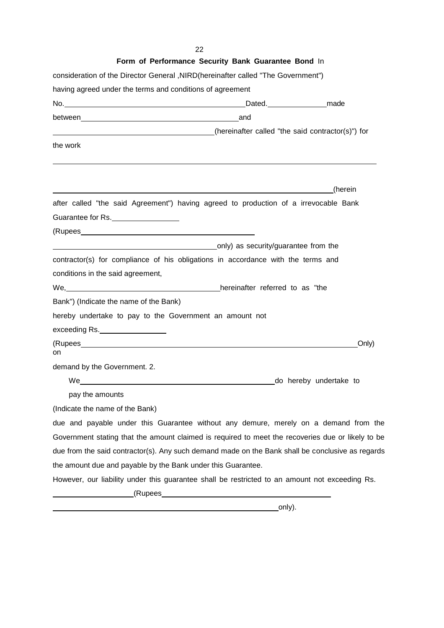$22$ <br> $\overline{ }$ 

| Form of Performance Security Bank Guarantee Bond In                                                                                                                                                                                  |
|--------------------------------------------------------------------------------------------------------------------------------------------------------------------------------------------------------------------------------------|
| consideration of the Director General , NIRD(hereinafter called "The Government")                                                                                                                                                    |
| having agreed under the terms and conditions of agreement                                                                                                                                                                            |
|                                                                                                                                                                                                                                      |
|                                                                                                                                                                                                                                      |
| (hereinafter called "the said contractor(s)") for                                                                                                                                                                                    |
| the work                                                                                                                                                                                                                             |
|                                                                                                                                                                                                                                      |
|                                                                                                                                                                                                                                      |
| <u>design and the set of the set of the set of the set of the set of the set of the set of the set of the set of the set of the set of the set of the set of the set of the set of the set of the set of the set of the set of t</u> |
| after called "the said Agreement") having agreed to production of a irrevocable Bank                                                                                                                                                 |
| Guarantee for Rs.                                                                                                                                                                                                                    |
|                                                                                                                                                                                                                                      |
| only) as security/guarantee from the control of the control of the control of the control of the control of the                                                                                                                      |
| contractor(s) for compliance of his obligations in accordance with the terms and                                                                                                                                                     |
| conditions in the said agreement,                                                                                                                                                                                                    |
| We, Me, Messenger Mercinalter referred to as "the                                                                                                                                                                                    |
| Bank") (Indicate the name of the Bank)                                                                                                                                                                                               |
| hereby undertake to pay to the Government an amount not                                                                                                                                                                              |
| exceeding Rs.                                                                                                                                                                                                                        |
| Only)                                                                                                                                                                                                                                |
| on                                                                                                                                                                                                                                   |
| demand by the Government. 2.                                                                                                                                                                                                         |
| do hereby undertake to                                                                                                                                                                                                               |
| pay the amounts                                                                                                                                                                                                                      |
| (Indicate the name of the Bank)                                                                                                                                                                                                      |
| due and payable under this Guarantee without any demure, merely on a demand from the                                                                                                                                                 |
| Government stating that the amount claimed is required to meet the recoveries due or likely to be                                                                                                                                    |
| due from the said contractor(s). Any such demand made on the Bank shall be conclusive as regards                                                                                                                                     |
| the amount due and payable by the Bank under this Guarantee.                                                                                                                                                                         |
| However, our liability under this guarantee shall be restricted to an amount not exceeding Rs.                                                                                                                                       |
| (Rupees                                                                                                                                                                                                                              |

only).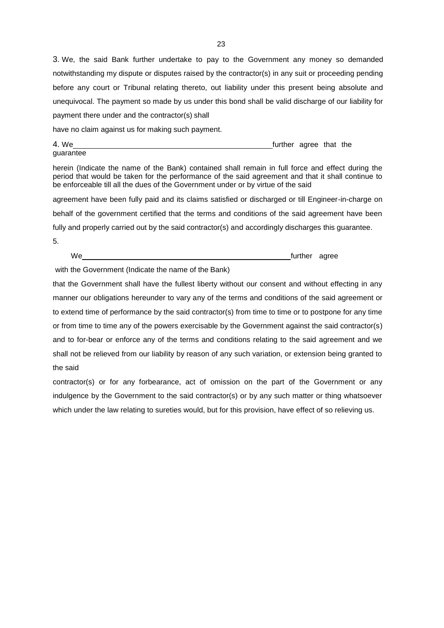3. We, the said Bank further undertake to pay to the Government any money so demanded notwithstanding my dispute or disputes raised by the contractor(s) in any suit or proceeding pending before any court or Tribunal relating thereto, out liability under this present being absolute and unequivocal. The payment so made by us under this bond shall be valid discharge of our liability for payment there under and the contractor(s) shall

have no claim against us for making such payment.

4. We <u>further</u> agree that the

herein (Indicate the name of the Bank) contained shall remain in full force and effect during the period that would be taken for the performance of the said agreement and that it shall continue to be enforceable till all the dues of the Government under or by virtue of the said

agreement have been fully paid and its claims satisfied or discharged or till Engineer-in-charge on behalf of the government certified that the terms and conditions of the said agreement have been fully and properly carried out by the said contractor(s) and accordingly discharges this guarantee.

5.

guarantee

We **the contract of the contract of the contract of the contract of the contract of the contract of the contract of the contract of the contract of the contract of the contract of the contract of the contract of the contra** 

with the Government (Indicate the name of the Bank)

that the Government shall have the fullest liberty without our consent and without effecting in any manner our obligations hereunder to vary any of the terms and conditions of the said agreement or to extend time of performance by the said contractor(s) from time to time or to postpone for any time or from time to time any of the powers exercisable by the Government against the said contractor(s) and to for-bear or enforce any of the terms and conditions relating to the said agreement and we shall not be relieved from our liability by reason of any such variation, or extension being granted to the said

contractor(s) or for any forbearance, act of omission on the part of the Government or any indulgence by the Government to the said contractor(s) or by any such matter or thing whatsoever which under the law relating to sureties would, but for this provision, have effect of so relieving us.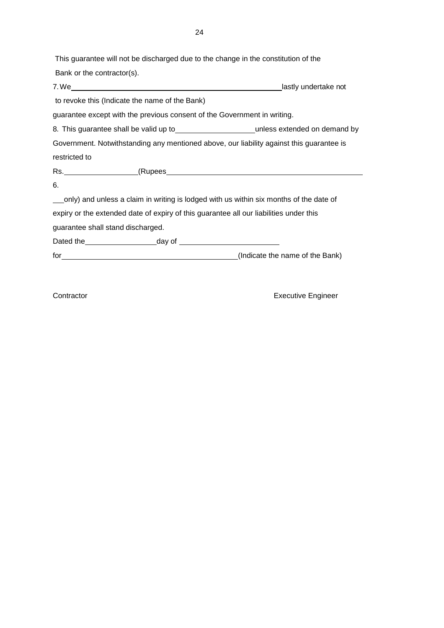This guarantee will not be discharged due to the change in the constitution of the Bank or the contractor(s). 7. We lastly undertake not

to revoke this (Indicate the name of the Bank)

guarantee except with the previous consent of the Government in writing.

8. This guarantee shall be valid up to unless extended on demand by

Government. Notwithstanding any mentioned above, our liability against this guarantee is restricted to

Rs. (Rupees

6.

only) and unless a claim in writing is lodged with us within six months of the date of expiry or the extended date of expiry of this guarantee all our liabilities under this guarantee shall stand discharged.

Dated the day of

for (Indicate the name of the Bank)

Contractor **Executive Engineer**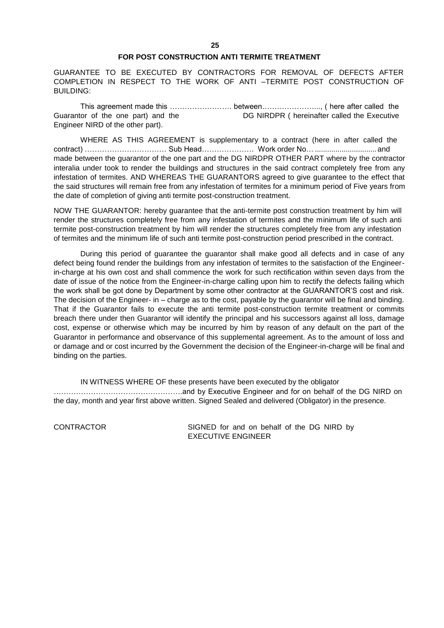# **FOR POST CONSTRUCTION ANTI TERMITE TREATMENT**

GUARANTEE TO BE EXECUTED BY CONTRACTORS FOR REMOVAL OF DEFECTS AFTER COMPLETION IN RESPECT TO THE WORK OF ANTI –TERMITE POST CONSTRUCTION OF BUILDING:

This agreement made this ……………………. between…………………..., ( here after called the Guarantor of the one part) and the DG NIRDPR ( hereinafter called the Executive Engineer NIRD of the other part).

WHERE AS THIS AGREEMENT is supplementary to a contract (here in after called the contract) …………………………… Sub Head………………… Work order No… .............................. and made between the guarantor of the one part and the DG NIRDPR OTHER PART where by the contractor interalia under took to render the buildings and structures in the said contract completely free from any infestation of termites. AND WHEREAS THE GUARANTORS agreed to give guarantee to the effect that the said structures will remain free from any infestation of termites for a minimum period of Five years from the date of completion of giving anti termite post-construction treatment.

NOW THE GUARANTOR: hereby guarantee that the anti-termite post construction treatment by him will render the structures completely free from any infestation of termites and the minimum life of such anti termite post-construction treatment by him will render the structures completely free from any infestation of termites and the minimum life of such anti termite post-construction period prescribed in the contract.

During this period of guarantee the guarantor shall make good all defects and in case of any defect being found render the buildings from any infestation of termites to the satisfaction of the Engineerin-charge at his own cost and shall commence the work for such rectification within seven days from the date of issue of the notice from the Engineer-in-charge calling upon him to rectify the defects failing which the work shall be got done by Department by some other contractor at the GUARANTOR'S cost and risk. The decision of the Engineer- in – charge as to the cost, payable by the guarantor will be final and binding. That if the Guarantor fails to execute the anti termite post-construction termite treatment or commits breach there under then Guarantor will identify the principal and his successors against all loss, damage cost, expense or otherwise which may be incurred by him by reason of any default on the part of the Guarantor in performance and observance of this supplemental agreement. As to the amount of loss and or damage and or cost incurred by the Government the decision of the Engineer-in-charge will be final and binding on the parties.

IN WITNESS WHERE OF these presents have been executed by the obligator …………………………………………….and by Executive Engineer and for on behalf of the DG NIRD on the day, month and year first above written. Signed Sealed and delivered (Obligator) in the presence.

CONTRACTOR SIGNED for and on behalf of the DG NIRD by EXECUTIVE ENGINEER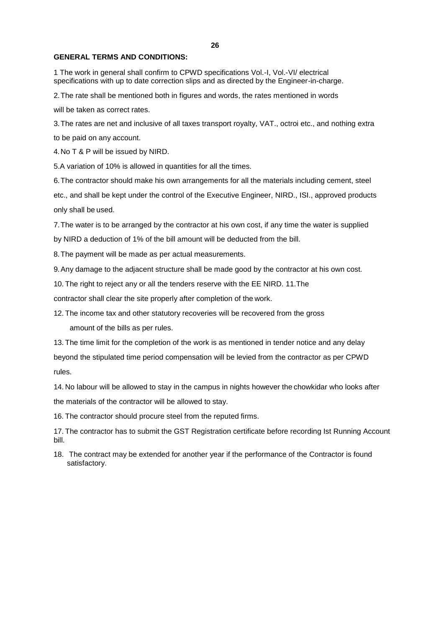#### **26**

### **GENERAL TERMS AND CONDITIONS:**

1 The work in general shall confirm to CPWD specifications Vol.-I, Vol.-VI/ electrical specifications with up to date correction slips and as directed by the Engineer-in-charge.

2.The rate shall be mentioned both in figures and words, the rates mentioned in words

will be taken as correct rates.

3.The rates are net and inclusive of all taxes transport royalty, VAT., octroi etc., and nothing extra to be paid on any account.

4.No T & P will be issued by NIRD.

5.A variation of 10% is allowed in quantities for all the times.

6.The contractor should make his own arrangements for all the materials including cement, steel etc., and shall be kept under the control of the Executive Engineer, NIRD., ISI., approved products only shall be used.

7.The water is to be arranged by the contractor at his own cost, if any time the water is supplied by NIRD a deduction of 1% of the bill amount will be deducted from the bill.

8.The payment will be made as per actual measurements.

9.Any damage to the adjacent structure shall be made good by the contractor at his own cost.

10. The right to reject any or all the tenders reserve with the EE NIRD. 11.The

contractor shall clear the site properly after completion of the work.

12. The income tax and other statutory recoveries will be recovered from the gross

amount of the bills as per rules.

13. The time limit for the completion of the work is as mentioned in tender notice and any delay beyond the stipulated time period compensation will be levied from the contractor as per CPWD rules.

14. No labour will be allowed to stay in the campus in nights however the chowkidar who looks after the materials of the contractor will be allowed to stay.

16. The contractor should procure steel from the reputed firms.

17. The contractor has to submit the GST Registration certificate before recording Ist Running Account bill.

18. The contract may be extended for another year if the performance of the Contractor is found satisfactory.